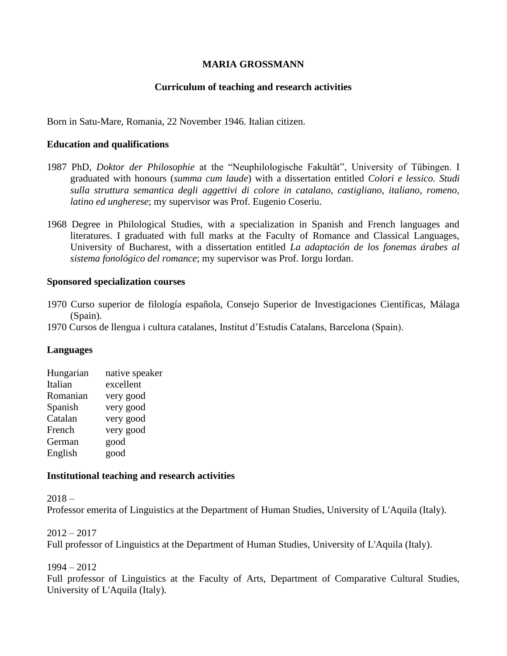## **MARIA GROSSMANN**

### **Curriculum of teaching and research activities**

Born in Satu-Mare, Romania, 22 November 1946. Italian citizen.

### **Education and qualifications**

- 1987 PhD, *Doktor der Philosophie* at the "Neuphilologische Fakultät", University of Tübingen. I graduated with honours (*summa cum laude*) with a dissertation entitled *Colori e lessico. Studi sulla struttura semantica degli aggettivi di colore in catalano, castigliano, italiano, romeno, latino ed ungherese*; my supervisor was Prof. Eugenio Coseriu.
- 1968 Degree in Philological Studies, with a specialization in Spanish and French languages and literatures. I graduated with full marks at the Faculty of Romance and Classical Languages, University of Bucharest, with a dissertation entitled *La adaptación de los fonemas árabes al sistema fonológico del romance*; my supervisor was Prof. Iorgu Iordan.

#### **Sponsored specialization courses**

- 1970 Curso superior de filología española, Consejo Superior de Investigaciones Científicas, Málaga (Spain).
- 1970 Cursos de llengua i cultura catalanes, Institut d'Estudis Catalans, Barcelona (Spain).

#### **Languages**

| Hungarian | native speaker |
|-----------|----------------|
| Italian   | excellent      |
| Romanian  | very good      |
| Spanish   | very good      |
| Catalan   | very good      |
| French    | very good      |
| German    | good           |
| English   | good           |
|           |                |

#### **Institutional teaching and research activities**

 $2018 -$ 

Professor emerita of Linguistics at the Department of Human Studies, University of L'Aquila (Italy).

 $2012 - 2017$ 

Full professor of Linguistics at the Department of Human Studies, University of L'Aquila (Italy).

1994 – 2012

Full professor of Linguistics at the Faculty of Arts, Department of Comparative Cultural Studies, University of L'Aquila (Italy).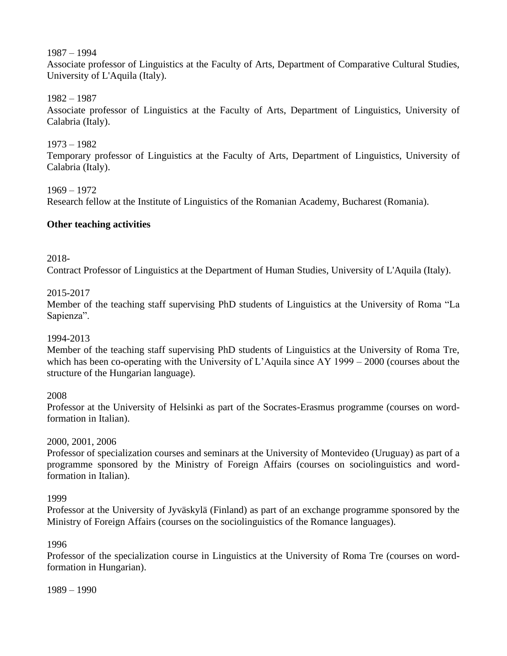1987 – 1994

Associate professor of Linguistics at the Faculty of Arts, Department of Comparative Cultural Studies, University of L'Aquila (Italy).

1982 – 1987

Associate professor of Linguistics at the Faculty of Arts, Department of Linguistics, University of Calabria (Italy).

1973 – 1982 Temporary professor of Linguistics at the Faculty of Arts, Department of Linguistics, University of Calabria (Italy).

1969 – 1972 Research fellow at the Institute of Linguistics of the Romanian Academy, Bucharest (Romania).

# **Other teaching activities**

2018-

Contract Professor of Linguistics at the Department of Human Studies, University of L'Aquila (Italy).

# 2015-2017

Member of the teaching staff supervising PhD students of Linguistics at the University of Roma "La Sapienza".

# 1994-2013

Member of the teaching staff supervising PhD students of Linguistics at the University of Roma Tre, which has been co-operating with the University of L'Aquila since AY 1999 – 2000 (courses about the structure of the Hungarian language).

# 2008

Professor at the University of Helsinki as part of the Socrates-Erasmus programme (courses on wordformation in Italian).

# 2000, 2001, 2006

Professor of specialization courses and seminars at the University of Montevideo (Uruguay) as part of a programme sponsored by the Ministry of Foreign Affairs (courses on sociolinguistics and wordformation in Italian).

# 1999

Professor at the University of Jyväskylä (Finland) as part of an exchange programme sponsored by the Ministry of Foreign Affairs (courses on the sociolinguistics of the Romance languages).

# 1996

Professor of the specialization course in Linguistics at the University of Roma Tre (courses on wordformation in Hungarian).

1989 – 1990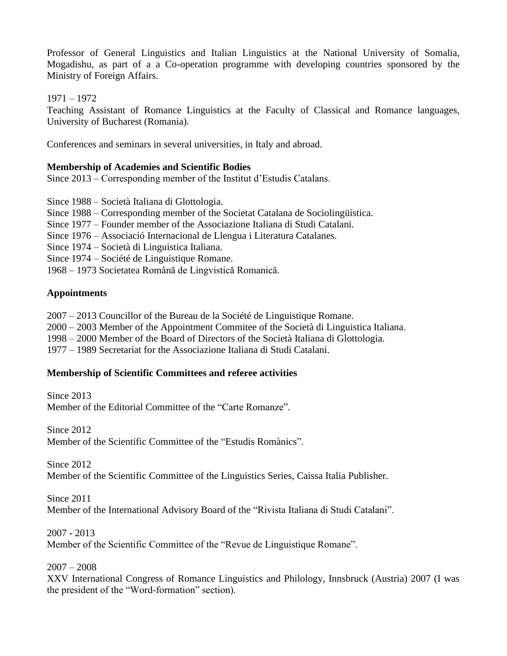Professor of General Linguistics and Italian Linguistics at the National University of Somalia, Mogadishu, as part of a a Co-operation programme with developing countries sponsored by the Ministry of Foreign Affairs.

1971 – 1972

Teaching Assistant of Romance Linguistics at the Faculty of Classical and Romance languages, University of Bucharest (Romania).

Conferences and seminars in several universities, in Italy and abroad.

## **Membership of Academies and Scientific Bodies**

Since 2013 – Corresponding member of the Institut d'Estudis Catalans.

Since 1988 – Società Italiana di Glottologia.

- Since 1988 Corresponding member of the Societat Catalana de Sociolingüística.
- Since 1977 Founder member of the Associazione Italiana di Studi Catalani.
- Since 1976 Associació Internacional de Llengua i Literatura Catalanes.
- Since 1974 Società di Linguistica Italiana.
- Since 1974 Société de Linguistique Romane.
- 1968 1973 Societatea Română de Lingvistică Romanică.

## **Appointments**

2007 – 2013 Councillor of the Bureau de la Société de Linguistique Romane.

2000 – 2003 Member of the Appointment Commitee of the Società di Linguistica Italiana.

- 1998 2000 Member of the Board of Directors of the Società Italiana di Glottologia.
- 1977 1989 Secretariat for the Associazione Italiana di Studi Catalani.

## **Membership of Scientific Committees and referee activities**

Since 2013 Member of the Editorial Committee of the "Carte Romanze".

Since 2012

Member of the Scientific Committee of the "Estudis Romànics".

Since 2012

Member of the Scientific Committee of the Linguistics Series, Caissa Italia Publisher.

Since 2011

Member of the International Advisory Board of the "Rivista Italiana di Studi Catalani".

2007 - 2013

Member of the Scientific Committee of the "Revue de Linguistique Romane".

2007 – 2008

XXV International Congress of Romance Linguistics and Philology, Innsbruck (Austria) 2007 (I was the president of the "Word-formation" section).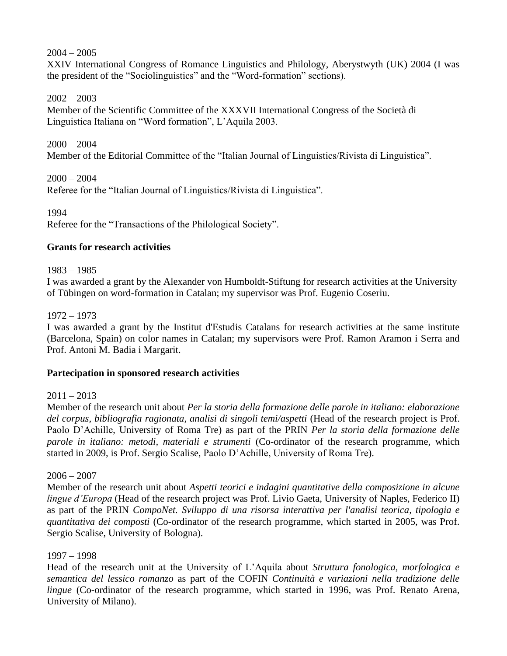## 2004 – 2005

XXIV International Congress of Romance Linguistics and Philology, Aberystwyth (UK) 2004 (I was the president of the "Sociolinguistics" and the "Word-formation" sections).

## 2002 – 2003

Member of the Scientific Committee of the XXXVII International Congress of the Società di Linguistica Italiana on "Word formation", L'Aquila 2003.

 $2000 - 2004$ Member of the Editorial Committee of the "Italian Journal of Linguistics/Rivista di Linguistica".

 $2000 - 2004$ Referee for the "Italian Journal of Linguistics/Rivista di Linguistica".

1994

Referee for the "Transactions of the Philological Society".

## **Grants for research activities**

1983 – 1985

I was awarded a grant by the Alexander von Humboldt-Stiftung for research activities at the University of Tübingen on word-formation in Catalan; my supervisor was Prof. Eugenio Coseriu.

1972 – 1973

I was awarded a grant by the Institut d'Estudis Catalans for research activities at the same institute (Barcelona, Spain) on color names in Catalan; my supervisors were Prof. Ramon Aramon i Serra and Prof. Antoni M. Badia i Margarit.

## **Partecipation in sponsored research activities**

 $2011 - 2013$ 

Member of the research unit about *Per la storia della formazione delle parole in italiano: elaborazione del corpus, bibliografia ragionata, analisi di singoli temi/aspetti* (Head of the research project is Prof. Paolo D'Achille, University of Roma Tre) as part of the PRIN *Per la storia della formazione delle parole in italiano: metodi, materiali e strumenti* (Co-ordinator of the research programme, which started in 2009, is Prof. Sergio Scalise, Paolo D'Achille, University of Roma Tre).

 $2006 - 2007$ 

Member of the research unit about *Aspetti teorici e indagini quantitative della composizione in alcune lingue d'Europa* (Head of the research project was Prof. Livio Gaeta, University of Naples, Federico II) as part of the PRIN *CompoNet. Sviluppo di una risorsa interattiva per l'analisi teorica, tipologia e quantitativa dei composti* (Co-ordinator of the research programme, which started in 2005, was Prof. Sergio Scalise, University of Bologna).

## 1997 – 1998

Head of the research unit at the University of L'Aquila about *Struttura fonologica, morfologica e semantica del lessico romanzo* as part of the COFIN *Continuità e variazioni nella tradizione delle lingue* (Co-ordinator of the research programme, which started in 1996, was Prof. Renato Arena, University of Milano).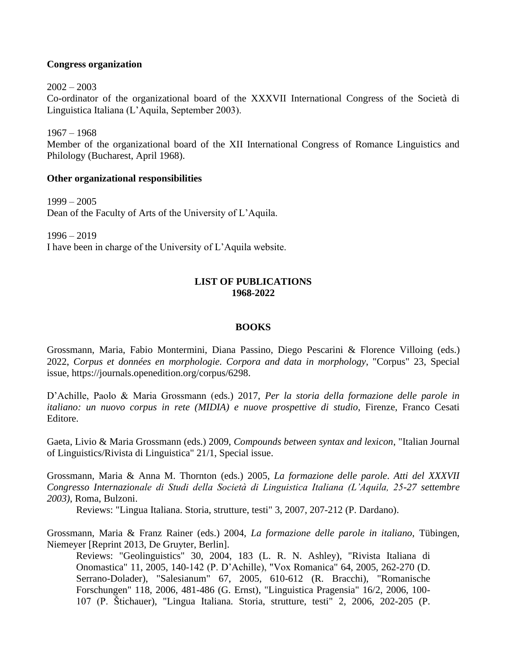### **Congress organization**

 $2002 - 2003$ Co-ordinator of the organizational board of the XXXVII International Congress of the Società di Linguistica Italiana (L'Aquila, September 2003).

1967 – 1968 Member of the organizational board of the XII International Congress of Romance Linguistics and Philology (Bucharest, April 1968).

## **Other organizational responsibilities**

1999 – 2005 Dean of the Faculty of Arts of the University of L'Aquila.

1996 – 2019 I have been in charge of the University of L'Aquila website.

## **LIST OF PUBLICATIONS 1968-2022**

#### **BOOKS**

Grossmann, Maria, Fabio Montermini, Diana Passino, Diego Pescarini & Florence Villoing (eds.) 2022, *Corpus et données en morphologie. Corpora and data in morphology*, "Corpus" 23, Special issue, https://journals.openedition.org/corpus/6298.

D'Achille, Paolo & Maria Grossmann (eds.) 2017, *Per la storia della formazione delle parole in italiano: un nuovo corpus in rete (MIDIA) e nuove prospettive di studio*, Firenze, Franco Cesati Editore.

Gaeta, Livio & Maria Grossmann (eds.) 2009, *Compounds between syntax and lexicon*, "Italian Journal of Linguistics/Rivista di Linguistica" 21/1, Special issue.

Grossmann, Maria & Anna M. Thornton (eds.) 2005, *La formazione delle parole*. *Atti del XXXVII Congresso Internazionale di Studi della Società di Linguistica Italiana (L'Aquila, 25-27 settembre 2003)*, Roma, Bulzoni.

Reviews: "Lingua Italiana. Storia, strutture, testi" 3, 2007, 207-212 (P. Dardano).

Grossmann, Maria & Franz Rainer (eds.) 2004, *La formazione delle parole in italiano*, Tübingen, Niemeyer [Reprint 2013, De Gruyter, Berlin].

Reviews: "Geolinguistics" 30, 2004, 183 (L. R. N. Ashley), "Rivista Italiana di Onomastica" 11, 2005, 140-142 (P. D'Achille), "Vox Romanica" 64, 2005, 262-270 (D. Serrano-Dolader), "Salesianum" 67, 2005, 610-612 (R. Bracchi), "Romanische Forschungen" 118, 2006, 481-486 (G. Ernst), "Linguistica Pragensia" 16/2, 2006, 100- 107 (P. Štichauer), "Lingua Italiana. Storia, strutture, testi" 2, 2006, 202-205 (P.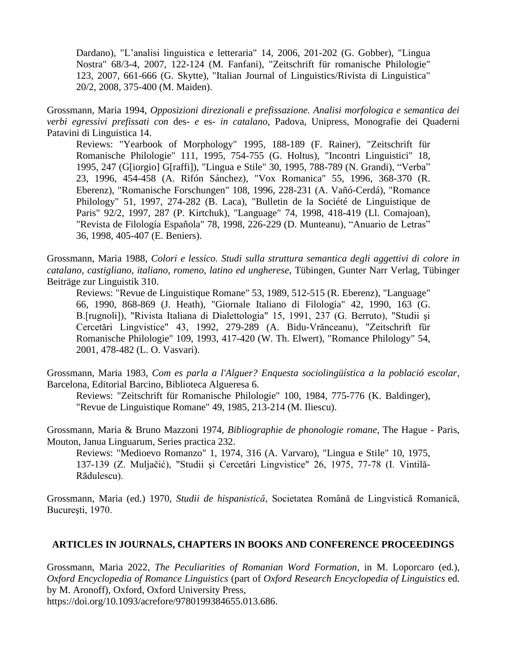Dardano), "L'analisi linguistica e letteraria" 14, 2006, 201-202 (G. Gobber), "Lingua Nostra" 68/3-4, 2007, 122-124 (M. Fanfani), "Zeitschrift für romanische Philologie" 123, 2007, 661-666 (G. Skytte), "Italian Journal of Linguistics/Rivista di Linguistica" 20/2, 2008, 375-400 (M. Maiden).

Grossmann, Maria 1994, *Opposizioni direzionali e prefissazione. Analisi morfologica e semantica dei verbi egressivi prefissati con* des*- e* es*- in catalano*, Padova, Unipress, Monografie dei Quaderni Patavini di Linguistica 14.

Reviews: "Yearbook of Morphology" 1995, 188-189 (F. Rainer), "Zeitschrift für Romanische Philologie" 111, 1995, 754-755 (G. Holtus), "Incontri Linguistici" 18, 1995, 247 (G[iorgio] G[raffi]), "Lingua e Stile" 30, 1995, 788-789 (N. Grandi), "Verba" 23, 1996, 454-458 (A. Rifón Sánchez), "Vox Romanica" 55, 1996, 368-370 (R. Eberenz), "Romanische Forschungen" 108, 1996, 228-231 (A. Vañó-Cerdá), "Romance Philology" 51, 1997, 274-282 (B. Laca), "Bulletin de la Société de Linguistique de Paris" 92/2, 1997, 287 (P. Kirtchuk), "Language" 74, 1998, 418-419 (Ll. Comajoan), "Revista de Filología Española" 78, 1998, 226-229 (D. Munteanu), "Anuario de Letras" 36, 1998, 405-407 (E. Beniers).

Grossmann, Maria 1988, *Colori e lessico. Studi sulla struttura semantica degli aggettivi di colore in catalano, castigliano, italiano, romeno, latino ed ungherese*, Tübingen, Gunter Narr Verlag, Tübinger Beiträge zur Linguistik 310.

Reviews: "Revue de Linguistique Romane" 53, 1989, 512-515 (R. Eberenz), "Language" 66, 1990, 868-869 (J. Heath), "Giornale Italiano di Filologia" 42, 1990, 163 (G. B.[rugnoli]), "Rivista Italiana di Dialettologia" 15, 1991, 237 (G. Berruto), "Studii şi Cercetări Lingvistice" 43, 1992, 279-289 (A. Bidu-Vrănceanu), "Zeitschrift für Romanische Philologie" 109, 1993, 417-420 (W. Th. Elwert), "Romance Philology" 54, 2001, 478-482 (L. O. Vasvari).

Grossmann, Maria 1983, *Com es parla a l'Alguer? Enquesta sociolingüística a la població escolar*, Barcelona, Editorial Barcino, Biblioteca Algueresa 6.

Reviews: "Zeitschrift für Romanische Philologie" 100, 1984, 775-776 (K. Baldinger), "Revue de Linguistique Romane" 49, 1985, 213-214 (M. Iliescu).

Grossmann, Maria & Bruno Mazzoni 1974, *Bibliographie de phonologie romane*, The Hague - Paris, Mouton, Janua Linguarum, Series practica 232.

Reviews: "Medioevo Romanzo" 1, 1974, 316 (A. Varvaro), "Lingua e Stile" 10, 1975, 137-139 (Z. Muljačić), "Studii şi Cercetări Lingvistice" 26, 1975, 77-78 (I. Vintilă-Rădulescu).

Grossmann, Maria (ed.) 1970, *Studii de hispanistică*, Societatea Română de Lingvistică Romanică, Bucureşti, 1970.

#### **ARTICLES IN JOURNALS, CHAPTERS IN BOOKS AND CONFERENCE PROCEEDINGS**

Grossmann, Maria 2022, *The Peculiarities of Romanian Word Formation*, in M. Loporcaro (ed.), *Oxford Encyclopedia of Romance Linguistics* (part of *Oxford Research Encyclopedia of Linguistics* ed. by M. Aronoff), Oxford, Oxford University Press, https://doi.org/10.1093/acrefore/9780199384655.013.686.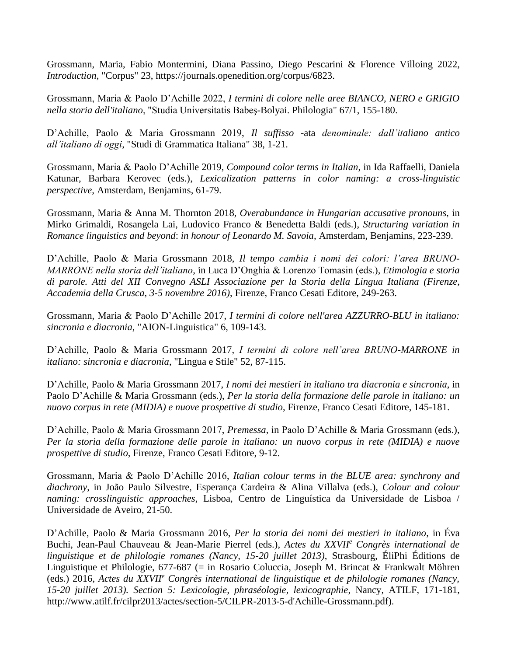Grossmann, Maria, Fabio Montermini, Diana Passino, Diego Pescarini & Florence Villoing 2022, *Introduction*, "Corpus" 23, https://journals.openedition.org/corpus/6823.

Grossmann, Maria & Paolo D'Achille 2022, *I termini di colore nelle aree BIANCO, NERO e GRIGIO nella storia dell'italiano*, "Studia Universitatis Babeş-Bolyai. Philologia" 67/1, 155-180.

D'Achille, Paolo & Maria Grossmann 2019, *Il suffisso -*ata *denominale: dall'italiano antico all'italiano di oggi*, "Studi di Grammatica Italiana" 38, 1-21.

Grossmann, Maria & Paolo D'Achille 2019, *Compound color terms in Italian*, in Ida Raffaelli, Daniela Katunar, Barbara Kerovec (eds.), *Lexicalization patterns in color naming: a cross-linguistic perspective*, Amsterdam, Benjamins, 61-79.

Grossmann, Maria & Anna M. Thornton 2018, *Overabundance in Hungarian accusative pronouns*, in Mirko Grimaldi, Rosangela Lai, Ludovico Franco & Benedetta Baldi (eds.), *Structuring variation in Romance linguistics and beyond*: *in honour of Leonardo M. Savoia*, Amsterdam, Benjamins, 223-239.

D'Achille, Paolo & Maria Grossmann 2018, *Il tempo cambia i nomi dei colori: l'area BRUNO-MARRONE nella storia dell'italiano*, in Luca D'Onghia & Lorenzo Tomasin (eds.), *Etimologia e storia di parole. Atti del XII Convegno ASLI Associazione per la Storia della Lingua Italiana (Firenze, Accademia della Crusca, 3-5 novembre 2016)*, Firenze, Franco Cesati Editore, 249-263.

Grossmann, Maria & Paolo D'Achille 2017, *I termini di colore nell'area AZZURRO-BLU in italiano: sincronia e diacronia*, "AION-Linguistica" 6, 109-143.

D'Achille, Paolo & Maria Grossmann 2017, *I termini di colore nell'area BRUNO-MARRONE in italiano: sincronia e diacronia*, "Lingua e Stile" 52, 87-115.

D'Achille, Paolo & Maria Grossmann 2017, *I nomi dei mestieri in italiano tra diacronia e sincronia*, in Paolo D'Achille & Maria Grossmann (eds.), *Per la storia della formazione delle parole in italiano: un nuovo corpus in rete (MIDIA) e nuove prospettive di studio*, Firenze, Franco Cesati Editore, 145-181.

D'Achille, Paolo & Maria Grossmann 2017, *Premessa*, in Paolo D'Achille & Maria Grossmann (eds.), *Per la storia della formazione delle parole in italiano: un nuovo corpus in rete (MIDIA) e nuove prospettive di studio*, Firenze, Franco Cesati Editore, 9-12.

Grossmann, Maria & Paolo D'Achille 2016, *Italian colour terms in the BLUE area: synchrony and diachrony*, in João Paulo Silvestre, Esperança Cardeira & Alina Villalva (eds.), *Colour and colour naming: crosslinguistic approaches*, Lisboa, Centro de Linguística da Universidade de Lisboa / Universidade de Aveiro, 21-50.

D'Achille, Paolo & Maria Grossmann 2016, *Per la storia dei nomi dei mestieri in italiano*, in Éva Buchi, Jean-Paul Chauveau & Jean-Marie Pierrel (eds.), *Actes du XXVII<sup>e</sup> Congrès international de linguistique et de philologie romanes (Nancy, 15-20 juillet 2013)*, Strasbourg, ÉliPhi Éditions de Linguistique et Philologie, 677-687 (= in Rosario Coluccia, Joseph M. Brincat & Frankwalt Möhren (eds.) 2016, *Actes du XXVII<sup>e</sup> Congrès international de linguistique et de philologie romanes (Nancy, 15-20 juillet 2013). Section 5: Lexicologie, phraséologie, lexicographie*, Nancy, ATILF, 171-181, http://www.atilf.fr/cilpr2013/actes/section-5/CILPR-2013-5-d'Achille-Grossmann.pdf).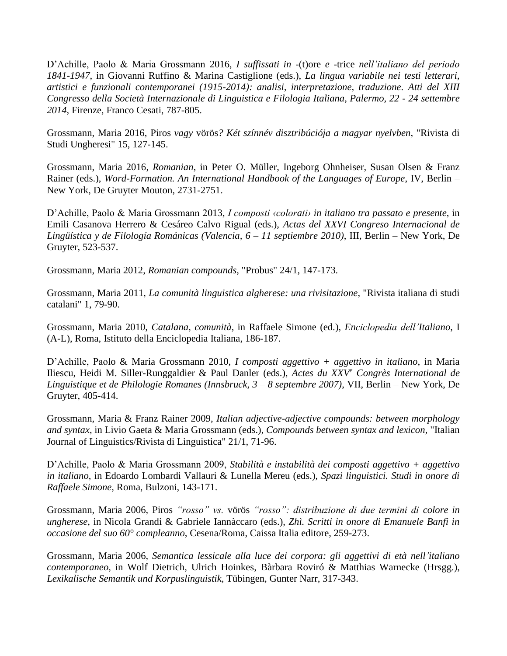D'Achille, Paolo & Maria Grossmann 2016, *I suffissati in* -(t)ore *e* -trice *nell'italiano del periodo 1841-1947*, in Giovanni Ruffino & Marina Castiglione (eds.), *La lingua variabile nei testi letterari, artistici e funzionali contemporanei (1915-2014): analisi, interpretazione, traduzione. Atti del XIII Congresso della Società Internazionale di Linguistica e Filologia Italiana*, *Palermo, 22 - 24 settembre 2014*, Firenze, Franco Cesati, 787-805.

Grossmann, Maria 2016, Piros *vagy* vörös*? Két színnév disztribúciója a magyar nyelvben*, "Rivista di Studi Ungheresi" 15, 127-145.

Grossmann, Maria 2016, *Romanian*, in Peter O. Müller, Ingeborg Ohnheiser, Susan Olsen & Franz Rainer (eds.), *Word-Formation. An International Handbook of the Languages of Europe*, IV, Berlin – New York, De Gruyter Mouton, 2731-2751.

D'Achille, Paolo & Maria Grossmann 2013, *I composti ‹colorati› in italiano tra passato e presente*, in Emili Casanova Herrero & Cesáreo Calvo Rigual (eds.), *Actas del XXVI Congreso Internacional de Lingüística y de Filología Románicas (Valencia, 6 – 11 septiembre 2010)*, III, Berlin – New York, De Gruyter, 523-537.

Grossmann, Maria 2012, *Romanian compounds*, "Probus" 24/1, 147-173.

Grossmann, Maria 2011, *La comunità linguistica algherese: una rivisitazione*, "Rivista italiana di studi catalani" 1, 79-90.

Grossmann, Maria 2010, *Catalana*, *comunità*, in Raffaele Simone (ed.), *Enciclopedia dell'Italiano*, I (A-L), Roma, Istituto della Enciclopedia Italiana, 186-187.

D'Achille, Paolo & Maria Grossmann 2010, *I composti aggettivo + aggettivo in italiano*, in Maria Iliescu, Heidi M. Siller-Runggaldier & Paul Danler (eds.), *Actes du XXV<sup>e</sup> Congrès International de Linguistique et de Philologie Romanes (Innsbruck, 3 – 8 septembre 2007)*, VII, Berlin – New York, De Gruyter, 405-414.

Grossmann, Maria & Franz Rainer 2009, *Italian adjective-adjective compounds: between morphology and syntax*, in Livio Gaeta & Maria Grossmann (eds.), *Compounds between syntax and lexicon*, "Italian Journal of Linguistics/Rivista di Linguistica" 21/1, 71-96.

D'Achille, Paolo & Maria Grossmann 2009, *Stabilità e instabilità dei composti aggettivo + aggettivo in italiano*, in Edoardo Lombardi Vallauri & Lunella Mereu (eds.), *Spazi linguistici. Studi in onore di Raffaele Simone*, Roma, Bulzoni, 143-171.

Grossmann, Maria 2006, Piros *"rosso" vs.* vörös *"rosso": distribuzione di due termini di colore in ungherese*, in Nicola Grandi & Gabriele Iannàccaro (eds.), *Zhì. Scritti in onore di Emanuele Banfi in occasione del suo 60° compleanno*, Cesena/Roma, Caissa Italia editore, 259-273.

Grossmann, Maria 2006, *Semantica lessicale alla luce dei corpora: gli aggettivi di età nell'italiano contemporaneo*, in Wolf Dietrich, Ulrich Hoinkes, Bàrbara Roviró & Matthias Warnecke (Hrsgg.), *Lexikalische Semantik und Korpuslinguistik*, Tübingen, Gunter Narr, 317-343.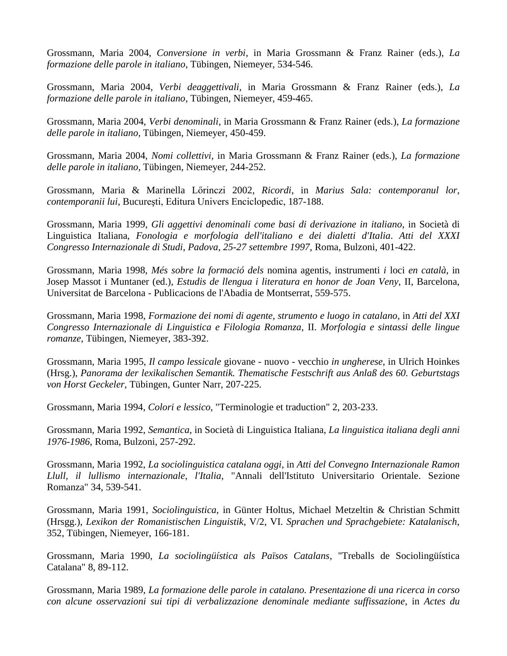Grossmann, Maria 2004, *Conversione in verbi*, in Maria Grossmann & Franz Rainer (eds.), *La formazione delle parole in italiano*, Tübingen, Niemeyer, 534-546.

Grossmann, Maria 2004, *Verbi deaggettivali*, in Maria Grossmann & Franz Rainer (eds.), *La formazione delle parole in italiano*, Tübingen, Niemeyer, 459-465.

Grossmann, Maria 2004, *Verbi denominali*, in Maria Grossmann & Franz Rainer (eds.), *La formazione delle parole in italiano*, Tübingen, Niemeyer, 450-459.

Grossmann, Maria 2004, *Nomi collettivi*, in Maria Grossmann & Franz Rainer (eds.), *La formazione delle parole in italiano*, Tübingen, Niemeyer, 244-252.

Grossmann, Maria & Marinella Lőrinczi 2002, *Ricordi*, in *Marius Sala: contemporanul lor, contemporanii lui*, Bucureşti, Editura Univers Enciclopedic, 187-188.

Grossmann, Maria 1999, *Gli aggettivi denominali come basi di derivazione in italiano*, in Società di Linguistica Italiana, *Fonologia e morfologia dell'italiano e dei dialetti d'Italia*. *Atti del XXXI Congresso Internazionale di Studi*, *Padova*, *25-27 settembre 1997*, Roma, Bulzoni, 401-422.

Grossmann, Maria 1998, *Més sobre la formació dels* nomina agentis, instrumenti *i* loci *en català*, in Josep Massot i Muntaner (ed.), *Estudis de llengua i literatura en honor de Joan Veny*, II, Barcelona, Universitat de Barcelona - Publicacions de l'Abadia de Montserrat, 559-575.

Grossmann, Maria 1998, *Formazione dei nomi di agente, strumento e luogo in catalano*, in *Atti del XXI Congresso Internazionale di Linguistica e Filologia Romanza*, II. *Morfologia e sintassi delle lingue romanze*, Tübingen, Niemeyer, 383-392.

Grossmann, Maria 1995, *Il campo lessicale* giovane - nuovo - vecchio *in ungherese*, in Ulrich Hoinkes (Hrsg.), *Panorama der lexikalischen Semantik. Thematische Festschrift aus Anlaß des 60. Geburtstags von Horst Geckeler*, Tübingen, Gunter Narr, 207-225.

Grossmann, Maria 1994, *Colori e lessico*, "Terminologie et traduction" 2, 203-233.

Grossmann, Maria 1992, *Semantica*, in Società di Linguistica Italiana, *La linguistica italiana degli anni 1976-1986*, Roma, Bulzoni, 257-292.

Grossmann, Maria 1992, *La sociolinguistica catalana oggi*, in *Atti del Convegno Internazionale Ramon Llull, il lullismo internazionale, l'Italia*, "Annali dell'Istituto Universitario Orientale. Sezione Romanza" 34, 539-541.

Grossmann, Maria 1991, *Sociolinguistica*, in Günter Holtus, Michael Metzeltin & Christian Schmitt (Hrsgg.), *Lexikon der Romanistischen Linguistik*, V/2, VI. *Sprachen und Sprachgebiete: Katalanisch*, 352, Tübingen, Niemeyer, 166-181.

Grossmann, Maria 1990, *La sociolingüística als Països Catalans*, "Treballs de Sociolingüística Catalana" 8, 89-112.

Grossmann, Maria 1989, *La formazione delle parole in catalano. Presentazione di una ricerca in corso con alcune osservazioni sui tipi di verbalizzazione denominale mediante suffissazione*, in *Actes du*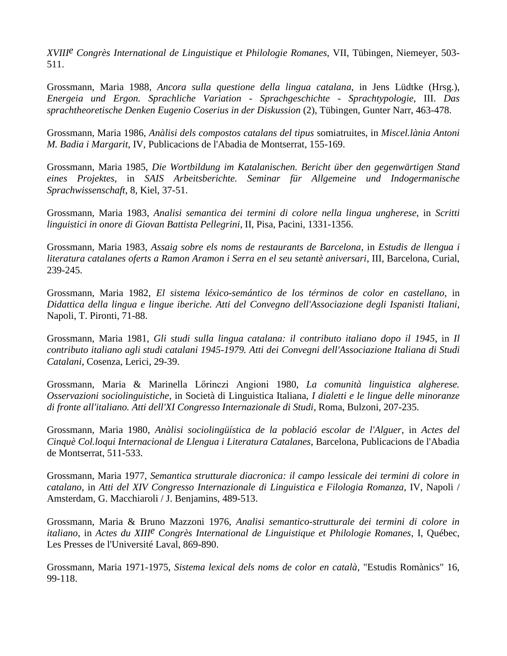*XVIIIe Congrès International de Linguistique et Philologie Romanes*, VII, Tübingen, Niemeyer, 503- 511.

Grossmann, Maria 1988, *Ancora sulla questione della lingua catalana*, in Jens Lüdtke (Hrsg.), *Energeia und Ergon. Sprachliche Variation - Sprachgeschichte - Sprachtypologie*, III. *Das sprachtheoretische Denken Eugenio Coserius in der Diskussion* (2), Tübingen, Gunter Narr, 463-478.

Grossmann, Maria 1986, *Anàlisi dels compostos catalans del tipus* somiatruites, in *Miscel.lània Antoni M. Badia i Margarit*, IV, Publicacions de l'Abadia de Montserrat, 155-169.

Grossmann, Maria 1985, *Die Wortbildung im Katalanischen. Bericht über den gegenwärtigen Stand eines Projektes*, in *SAIS Arbeitsberichte. Seminar für Allgemeine und Indogermanische Sprachwissenschaft*, 8, Kiel, 37-51.

Grossmann, Maria 1983, *Analisi semantica dei termini di colore nella lingua ungherese*, in *Scritti linguistici in onore di Giovan Battista Pellegrini*, II, Pisa, Pacini, 1331-1356.

Grossmann, Maria 1983, *Assaig sobre els noms de restaurants de Barcelona*, in *Estudis de llengua i literatura catalanes oferts a Ramon Aramon i Serra en el seu setantè aniversari*, III, Barcelona, Curial, 239-245.

Grossmann, Maria 1982, *El sistema léxico-semántico de los términos de color en castellano*, in *Didattica della lingua e lingue iberiche. Atti del Convegno dell'Associazione degli Ispanisti Italiani*, Napoli, T. Pironti, 71-88.

Grossmann, Maria 1981, *Gli studi sulla lingua catalana: il contributo italiano dopo il 1945*, in *Il contributo italiano agli studi catalani 1945-1979. Atti dei Convegni dell'Associazione Italiana di Studi Catalani*, Cosenza, Lerici, 29-39.

Grossmann, Maria & Marinella Lőrinczi Angioni 1980, *La comunità linguistica algherese. Osservazioni sociolinguistiche*, in Società di Linguistica Italiana, *I dialetti e le lingue delle minoranze di fronte all'italiano. Atti dell'XI Congresso Internazionale di Studi*, Roma, Bulzoni, 207-235.

Grossmann, Maria 1980, *Anàlisi sociolingüística de la població escolar de l'Alguer*, in *Actes del Cinquè Col.loqui Internacional de Llengua i Literatura Catalanes*, Barcelona, Publicacions de l'Abadia de Montserrat, 511-533.

Grossmann, Maria 1977, *Semantica strutturale diacronica: il campo lessicale dei termini di colore in catalano*, in *Atti del XIV Congresso Internazionale di Linguistica e Filologia Romanza*, IV, Napoli / Amsterdam, G. Macchiaroli / J. Benjamins, 489-513.

Grossmann, Maria & Bruno Mazzoni 1976, *Analisi semantico-strutturale dei termini di colore in italiano*, in *Actes du XIIIe Congrès International de Linguistique et Philologie Romanes*, I, Québec, Les Presses de l'Université Laval, 869-890.

Grossmann, Maria 1971-1975, *Sistema lexical dels noms de color en català*, "Estudis Romànics" 16, 99-118.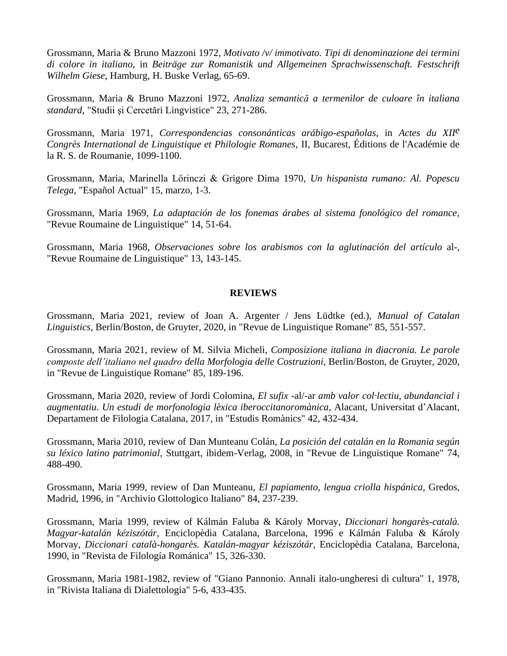Grossmann, Maria & Bruno Mazzoni 1972, *Motivato /v/ immotivato. Tipi di denominazione dei termini di colore in italiano*, in *Beiträge zur Romanistik und Allgemeinen Sprachwissenschaft. Festschrift Wilhelm Giese*, Hamburg, H. Buske Verlag, 65-69.

Grossmann, Maria & Bruno Mazzoni 1972, *Analiza semantică a termenilor de culoare în italiana standard*, "Studii şi Cercetări Lingvistice" 23, 271-286.

Grossmann, Maria 1971, *Correspondencias consonánticas arábigo-españolas*, in *Actes du XIIe Congrès International de Linguistique et Philologie Romanes*, II, Bucarest, Éditions de l'Académie de la R. S. de Roumanie, 1099-1100.

Grossmann, Maria, Marinella Lőrinczi & Grigore Dima 1970, *Un hispanista rumano: Al. Popescu Telega*, "Español Actual" 15, marzo, 1-3.

Grossmann, Maria 1969, *La adaptación de los fonemas árabes al sistema fonológico del romance*, "Revue Roumaine de Linguistique" 14, 51-64.

Grossmann, Maria 1968, *Observaciones sobre los arabismos con la aglutinación del artículo* al-, "Revue Roumaine de Linguistique" 13, 143-145.

### **REVIEWS**

Grossmann, Maria 2021, review of Joan A. Argenter / Jens Lüdtke (ed.), *Manual of Catalan Linguistics*, Berlin/Boston, de Gruyter, 2020, in "Revue de Linguistique Romane" 85, 551-557.

Grossmann, Maria 2021, review of M. Silvia Micheli, *Composizione italiana in diacronia. Le parole composte dell'italiano nel quadro della Morfologia delle Costruzioni*, Berlin/Boston, de Gruyter, 2020, in "Revue de Linguistique Romane" 85, 189-196.

Grossmann, Maria 2020, review of Jordi Colomina, *El sufix* -al/-ar *amb valor col·lectiu, abundancial i augmentatiu. Un estudi de morfonologia lèxica iberoccitanoromànica*, Alacant, Universitat d'Alacant, Departament de Filologia Catalana, 2017, in "Estudis Romànics" 42, 432-434.

Grossmann, Maria 2010, review of Dan Munteanu Colán, *La posición del catalán en la Romania según su léxico latino patrimonial*, Stuttgart, ibidem-Verlag, 2008, in "Revue de Linguistique Romane" 74, 488-490.

Grossmann, Maria 1999, review of Dan Munteanu, *El papiamento, lengua criolla hispánica*, Gredos, Madrid, 1996, in "Archivio Glottologico Italiano" 84, 237-239.

Grossmann, Maria 1999, review of Kálmán Faluba & Károly Morvay, *Diccionari hongarès-català. Magyar-katalán kéziszótár*, Enciclopèdia Catalana, Barcelona, 1996 e Kálmán Faluba & Károly Morvay, *Diccionari català-hongarès. Katalán-magyar kéziszótár*, Enciclopèdia Catalana, Barcelona, 1990, in "Revista de Filología Románica" 15, 326-330.

Grossmann, Maria 1981-1982, review of "Giano Pannonio. Annali italo-ungheresi di cultura" 1, 1978, in "Rivista Italiana di Dialettologia" 5-6, 433-435.